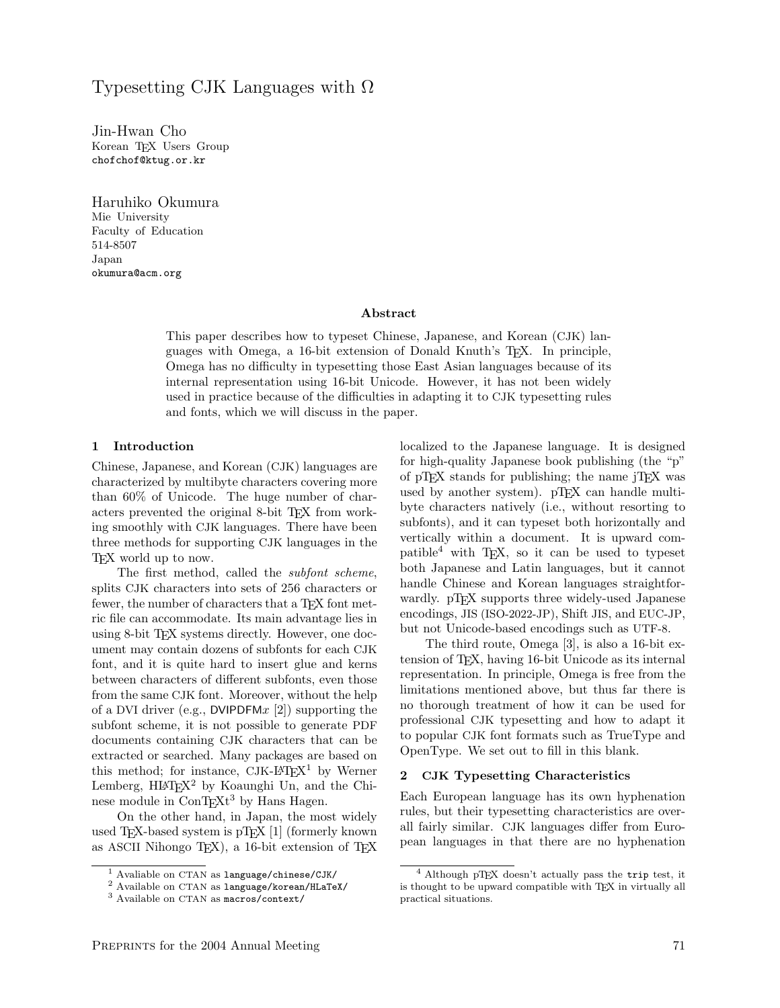# Typesetting CJK Languages with Ω

Jin-Hwan Cho Korean T<sub>E</sub>X Users Group chofchof@ktug.or.kr

Haruhiko Okumura Mie University Faculty of Education 514-8507 Japan okumura@acm.org

#### Abstract

This paper describes how to typeset Chinese, Japanese, and Korean (CJK) languages with Omega, a 16-bit extension of Donald Knuth's TEX. In principle, Omega has no difficulty in typesetting those East Asian languages because of its internal representation using 16-bit Unicode. However, it has not been widely used in practice because of the difficulties in adapting it to CJK typesetting rules and fonts, which we will discuss in the paper.

### 1 Introduction

Chinese, Japanese, and Korean (CJK) languages are characterized by multibyte characters covering more than 60% of Unicode. The huge number of characters prevented the original 8-bit T<sub>EX</sub> from working smoothly with CJK languages. There have been three methods for supporting CJK languages in the TEX world up to now.

The first method, called the subfont scheme, splits CJK characters into sets of 256 characters or fewer, the number of characters that a T<sub>E</sub>X font metric file can accommodate. Its main advantage lies in using 8-bit T<sub>EX</sub> systems directly. However, one document may contain dozens of subfonts for each CJK font, and it is quite hard to insert glue and kerns between characters of different subfonts, even those from the same CJK font. Moreover, without the help of a DVI driver (e.g., DVIPDFM $x$  [2]) supporting the subfont scheme, it is not possible to generate PDF documents containing CJK characters that can be extracted or searched. Many packages are based on this method; for instance,  $CJK$ -L<sup>A</sup>T<sub>E</sub>X<sup>1</sup> by Werner Lemberg,  $HLT$ <sub>F</sub> $X^2$  by Koaunghi Un, and the Chinese module in  $ConTEXt^3$  by Hans Hagen.

On the other hand, in Japan, the most widely used TEX-based system is pTEX [1] (formerly known as ASCII Nihongo TEX), a 16-bit extension of TEX localized to the Japanese language. It is designed for high-quality Japanese book publishing (the "p" of pTEX stands for publishing; the name jTEX was used by another system). pTEX can handle multibyte characters natively (i.e., without resorting to subfonts), and it can typeset both horizontally and vertically within a document. It is upward compatible<sup>4</sup> with TEX, so it can be used to typeset both Japanese and Latin languages, but it cannot handle Chinese and Korean languages straightforwardly. pTFX supports three widely-used Japanese encodings, JIS (ISO-2022-JP), Shift JIS, and EUC-JP, but not Unicode-based encodings such as UTF-8.

The third route, Omega [3], is also a 16-bit extension of TEX, having 16-bit Unicode as its internal representation. In principle, Omega is free from the limitations mentioned above, but thus far there is no thorough treatment of how it can be used for professional CJK typesetting and how to adapt it to popular CJK font formats such as TrueType and OpenType. We set out to fill in this blank.

#### 2 CJK Typesetting Characteristics

Each European language has its own hyphenation rules, but their typesetting characteristics are overall fairly similar. CJK languages differ from European languages in that there are no hyphenation

<sup>1</sup> Avaliable on CTAN as language/chinese/CJK/

<sup>2</sup> Available on CTAN as language/korean/HLaTeX/

<sup>3</sup> Available on CTAN as macros/context/

<sup>4</sup> Although pTEX doesn't actually pass the trip test, it is thought to be upward compatible with TEX in virtually all practical situations.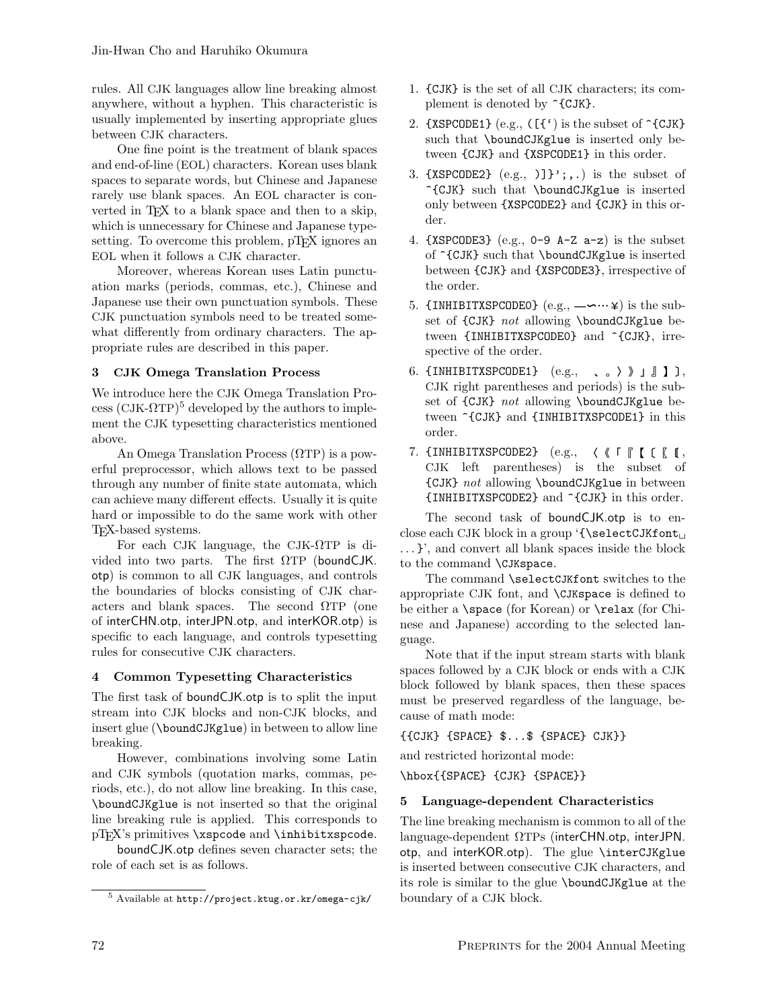rules. All CJK languages allow line breaking almost anywhere, without a hyphen. This characteristic is usually implemented by inserting appropriate glues between CJK characters.

One fine point is the treatment of blank spaces and end-of-line (EOL) characters. Korean uses blank spaces to separate words, but Chinese and Japanese rarely use blank spaces. An EOL character is converted in T<sub>E</sub>X to a blank space and then to a skip, which is unnecessary for Chinese and Japanese typesetting. To overcome this problem, pT<sub>F</sub>X ignores an EOL when it follows a CJK character.

Moreover, whereas Korean uses Latin punctuation marks (periods, commas, etc.), Chinese and Japanese use their own punctuation symbols. These CJK punctuation symbols need to be treated somewhat differently from ordinary characters. The appropriate rules are described in this paper.

# 3 CJK Omega Translation Process

We introduce here the CJK Omega Translation Pro- $\cos (CJK-ΩTP)<sup>5</sup>$  developed by the authors to implement the CJK typesetting characteristics mentioned above.

An Omega Translation Process (ΩTP) is a powerful preprocessor, which allows text to be passed through any number of finite state automata, which can achieve many different effects. Usually it is quite hard or impossible to do the same work with other TEX-based systems.

For each CJK language, the CJK-ΩTP is divided into two parts. The first  $\Omega$ TP (boundCJK. otp) is common to all CJK languages, and controls the boundaries of blocks consisting of CJK characters and blank spaces. The second  $\Omega$ TP (one of interCHN.otp, interJPN.otp, and interKOR.otp) is specific to each language, and controls typesetting rules for consecutive CJK characters.

# 4 Common Typesetting Characteristics

The first task of boundCJK.otp is to split the input stream into CJK blocks and non-CJK blocks, and insert glue (\boundCJKglue) in between to allow line breaking.

However, combinations involving some Latin and CJK symbols (quotation marks, commas, periods, etc.), do not allow line breaking. In this case, \boundCJKglue is not inserted so that the original line breaking rule is applied. This corresponds to pTEX's primitives \xspcode and \inhibitxspcode.

boundCJK.otp defines seven character sets; the role of each set is as follows.

- 1. {CJK} is the set of all CJK characters; its complement is denoted by  $\hat{C}$ CJK $\}$ .
- 2. {XSPCODE1} (e.g.,  $([{\iota}])$  is the subset of  $\widehat{\iota}$ CJK} such that \boundCJKglue is inserted only between {CJK} and {XSPCODE1} in this order.
- 3.  $\{XSPCODE2\}$  (e.g., )] $\}'$ ;,.) is the subset of ^{CJK} such that \boundCJKglue is inserted only between {XSPCODE2} and {CJK} in this order.
- 4. {XSPCODE3} (e.g.,  $0-9$  A-Z a-z) is the subset of  $\widehat{CJK}$  such that **\boundCJKglue** is inserted between {CJK} and {XSPCODE3}, irrespective of the order. )\*+,-.#\$
- 5. {INHIBITXSPCODEO}  $(e.g., -\neg \cdots \ncong)$  is the subset of {CJK} not allowing \boundCJKglue between {INHIBITXSPCODE0} and ^{CJK}, irrespective of the order.
- 6.  $\{INHIBITXSPCODE1\}$   $(e.g., \quad , \quad \rangle \quad \$   $\| \quad \| \quad \$  ),  $\frac{1}{2}$  for  $\frac{1}{2}$  not allowing \boundCJKglue between  $\hat{C}$ CJK} and {INHIBITXSPCODE1} in this CJK right parentheses and periods) is the suborder.
- $7.$  {INHIBITXSPCODE2}  $(e.g., \quad \langle \ \langle \ \Gamma \ \vert \ \in \ \langle \ \vert \ ,$ /012 {CJK} not allowing \boundCJKglue in between CJK left parentheses) is the subset of {INHIBITXSPCODE2} and ^{CJK} in this order.

The second task of boundCJK.otp is to enclose each CJK block in a group  $\{\setminus \mathsf{selectCJKfont}_\sqcup$ . . . }', and convert all blank spaces inside the block to the command \CJKspace.

The command \selectCJKfont switches to the appropriate CJK font, and \CJKspace is defined to be either a \space (for Korean) or \relax (for Chinese and Japanese) according to the selected language.

Note that if the input stream starts with blank spaces followed by a CJK block or ends with a CJK block followed by blank spaces, then these spaces must be preserved regardless of the language, because of math mode:

{{CJK} {SPACE} \$...\$ {SPACE} CJK}}

and restricted horizontal mode:

\hbox{{SPACE} {CJK} {SPACE}}

# 5 Language-dependent Characteristics

The line breaking mechanism is common to all of the language-dependent ΩTPs (interCHN.otp, interJPN. otp, and interKOR.otp). The glue \interCJKglue is inserted between consecutive CJK characters, and its role is similar to the glue \boundCJKglue at the boundary of a CJK block.

<sup>5</sup> Available at http://project.ktug.or.kr/omega-cjk/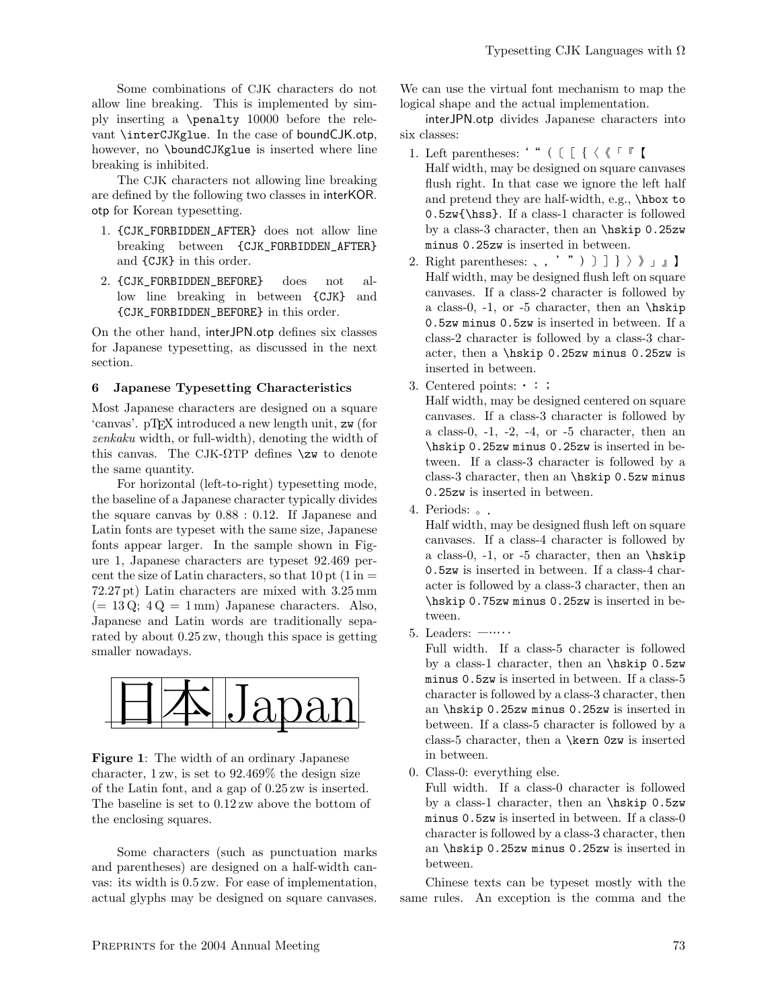Some combinations of CJK characters do not allow line breaking. This is implemented by simply inserting a \penalty 10000 before the relevant \interCJKglue. In the case of boundCJK.otp, however, no \boundCJKglue is inserted where line breaking is inhibited.

The CJK characters not allowing line breaking are defined by the following two classes in interKOR. otp for Korean typesetting.

- 1. {CJK\_FORBIDDEN\_AFTER} does not allow line breaking between {CJK\_FORBIDDEN\_AFTER} and {CJK} in this order.
- 2. {CJK\_FORBIDDEN\_BEFORE} does not allow line breaking in between {CJK} and {CJK\_FORBIDDEN\_BEFORE} in this order.

On the other hand, interJPN.otp defines six classes for Japanese typesetting, as discussed in the next section.

# 6 Japanese Typesetting Characteristics

Most Japanese characters are designed on a square 'canvas'. pTEX introduced a new length unit, zw (for zenkaku width, or full-width), denoting the width of this canvas. The CJK- $\Omega$ TP defines  $\chi$ zw to denote the same quantity.

For horizontal (left-to-right) typesetting mode, the baseline of a Japanese character typically divides the square canvas by 0.88 : 0.12. If Japanese and Latin fonts are typeset with the same size, Japanese fonts appear larger. In the sample shown in Figure 1, Japanese characters are typeset 92.469 percent the size of Latin characters, so that  $10 \text{ pt} (1 \text{ in } =$ 72.27 pt) Latin characters are mixed with 3.25 mm  $(= 13 \text{ Q}; 4 \text{ Q} = 1 \text{ mm})$  Japanese characters. Also, Japanese and Latin words are traditionally separated by about 0.25 zw, though this space is getting smaller nowadays.



Figure 1: The width of an ordinary Japanese character, 1 zw, is set to 92.469% the design size of the Latin font, and a gap of 0.25 zw is inserted. The baseline is set to 0.12 zw above the bottom of the enclosing squares.

Some characters (such as punctuation marks and parentheses) are designed on a half-width canvas: its width is 0.5 zw. For ease of implementation, actual glyphs may be designed on square canvases. We can use the virtual font mechanism to map the logical shape and the actual implementation.

interJPN.otp divides Japanese characters into six classes:

- 1. Left parentheses: ' " (  $[$   $[$   $\langle$   $\langle$   $\lceil$   $\lceil$   $\lceil$ Half width, may be designed on square canvases flush right. In that case we ignore the left half and pretend they are half-width, e.g., \hbox to 0.5zw{\hss}. If a class-1 character is followed by a class-3 character, then an \hskip 0.25zw minus 0.25zw is inserted in between.
- 2. Right parentheses:  $\langle , ' " )$   $]$   $]$   $\rangle$   $\rangle$   $]$   $]$ Half width, may be designed flush left on square canvases. If a class-2 character is followed by a class-0,  $-1$ , or  $-5$  character, then an \hiskip 0.5zw minus 0.5zw is inserted in between. If a class-2 character is followed by a class-3 character, then a \hskip 0.25zw minus 0.25zw is inserted in between.
- 3. Centered points:  $\cdot$ :

Half width, may be designed centered on square canvases. If a class-3 character is followed by a class-0, -1, -2, -4, or -5 character, then an \hskip 0.25zw minus 0.25zw is inserted in between. If a class-3 character is followed by a class-3 character, then an \hskip 0.5zw minus 0.25zw is inserted in between.

4. Periods: 。.

Half width, may be designed flush left on square canvases. If a class-4 character is followed by a class-0,  $-1$ , or  $-5$  character, then an \hiskip 0.5zw is inserted in between. If a class-4 character is followed by a class-3 character, then an \hskip 0.75zw minus 0.25zw is inserted in between.

5. Leaders: ―…‥

Full width. If a class-5 character is followed by a class-1 character, then an \hskip 0.5zw minus 0.5zw is inserted in between. If a class-5 character is followed by a class-3 character, then an \hskip 0.25zw minus 0.25zw is inserted in between. If a class-5 character is followed by a class-5 character, then a \kern 0zw is inserted in between.

0. Class-0: everything else.

Full width. If a class-0 character is followed by a class-1 character, then an \hskip 0.5zw minus 0.5zw is inserted in between. If a class-0 character is followed by a class-3 character, then an \hskip 0.25zw minus 0.25zw is inserted in between.

Chinese texts can be typeset mostly with the same rules. An exception is the comma and the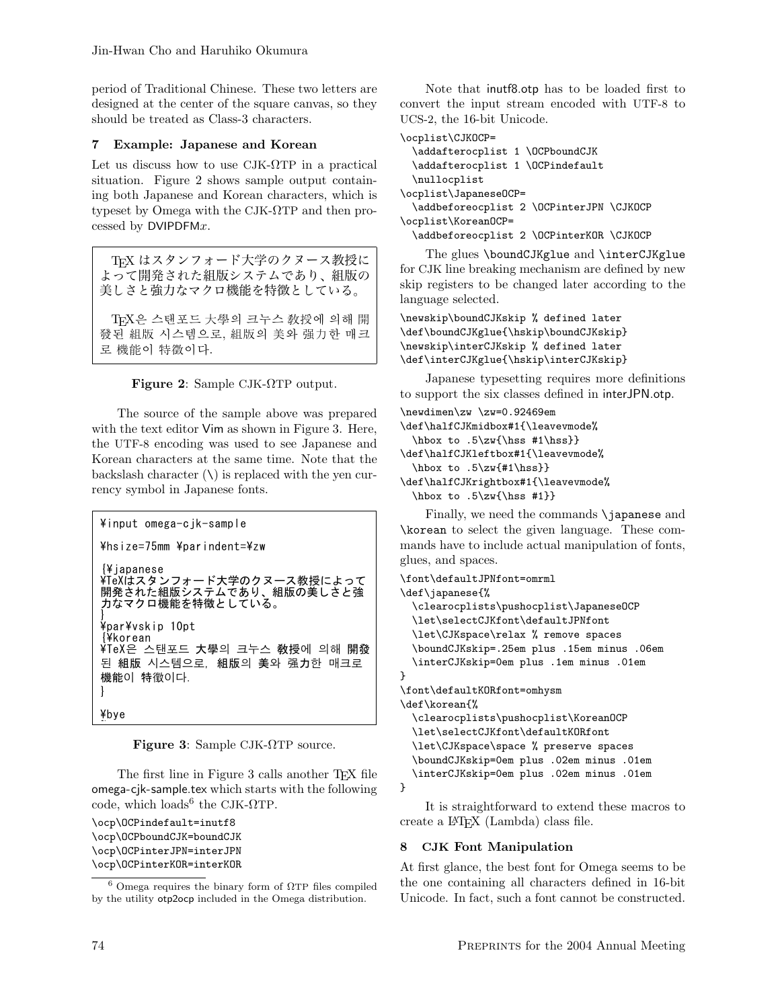period of Traditional Chinese. These two letters are designed at the center of the square canvas, so they should be treated as Class-3 characters.

#### Example: Japanese and Korean  $\overline{7}$

Let us discuss how to use  $CJK- $\Omega$ TP in a practical$ situation. Figure 2 shows sample output containing both Japanese and Korean characters, which is typeset by Omega with the CJK- $\Omega$ TP and then processed by  $DVIPDFMx$ .

TFX はスタンフォード大学のクヌース教授に よって開発された組版システムであり、組版の 美しさと強力なマクロ機能を特徴としている。

TFX은 스탠포드 大學의 크누스 敎授에 의해 開 發된 組版 시스템으로, 組版의 美와 强力한 매크 로 機能이 特徵이다.



The source of the sample above was prepared with the text editor Vim as shown in Figure 3. Here, the UTF-8 encoding was used to see Japanese and Korean characters at the same time. Note that the backslash character  $(\setminus)$  is replaced with the ven currency symbol in Japanese fonts.

```
¥input omega-cjk-sample
¥hsize=75mm ¥parindent=¥zw
{¥japanese
¥TeXはスタンフォード大学のクヌース教授によって
開発された組版システムであり、組版の美しさと強
力なマクロ機能を特徴としている。
¥par¥vskip 10pt
∤¥korean
¥TeX은 스탠포드 大學의 크누스 敎授에 의해 開發
된 組版 시스템으로, 組版의 美와 强力한 매크로
機能이 特徵이다.
\mathcal{L}_{\mathcal{L}}¥bye
```
**Figure 3:** Sample CJK- $\Omega$ TP source.

The first line in Figure 3 calls another TFX file omega-cik-sample.tex which starts with the following code, which loads<sup>6</sup> the CJK- $\Omega$ TP.

```
\ocp\OCPindefault=inutf8
\ocp\0CPboundCJK=boundCJK
\ocp\OCPinterJPN=interJPN
\ocp\OCPinterKOR=interKOR
```
Note that inutf8.otp has to be loaded first to convert the input stream encoded with UTF-8 to UCS-2, the 16-bit Unicode.

\ocplist\CJKOCP=

```
\addafterocplist 1 \OCPboundCJK
  \addafterocplist 1 \OCPindefault
 \nullocplist
\ocplist\JapaneseOCP=
  \addbeforeocplist 2 \OCPinterJPN \CJKOCP
\ocplist\KoreanOCP=
  \addbeforeocplist 2 \OCPinterKOR \CJKOCP
```
The glues \boundCJKglue and \interCJKglue for CJK line breaking mechanism are defined by new skip registers to be changed later according to the language selected.

\newskip\boundCJKskip % defined later \def\boundCJKglue{\hskip\boundCJKskip} \newskip\interCJKskip % defined later \def\interCJKglue{\hskip\interCJKskip}

Japanese typesetting requires more definitions to support the six classes defined in interJPN.otp.

```
\newdimen\zw \zw=0.92469em
\def\halfCJKmidbox#1{\leavevmode%
  \hbox to .5\zw{\hss #1\hss}}
\def\halfCJKleftbox#1{\leavevmode%
  \hbox to .5\zw{#1\hss}}
\def\halfCJKrightbox#1{\leavevmode%
 \hbox to .5\zw{\hss #1}}
```
Finally, we need the commands \japanese and \korean to select the given language. These commands have to include actual manipulation of fonts, glues, and spaces.

```
\font\defaultJPNfont=omrml
\def\japanese{%
  \clearocplists\pushocplist\JapaneseOCP
  \let\selectCJKfont\defaultJPNfont
  \let\CJKspace\relax % remove spaces
  \boundCJKskip=.25em plus .15em minus .06em
  \interCJKskip=0em plus .1em minus .01em
ł
\font\defaultKORfont=omhysm
\def\korean{%
  \clearocplists\pushocplist\KoreanOCP
  \let\selectCJKfont\defaultKORfont
  \let\CJKspace\space % preserve spaces
  \boundCJKskip=0em plus .02em minus .01em
  \interCJKskip=0em plus .02em minus .01em
```
}

It is straightforward to extend these macros to create a IATFX (Lambda) class file.

#### **CJK Font Manipulation** 8

At first glance, the best font for Omega seems to be the one containing all characters defined in 16-bit Unicode. In fact, such a font cannot be constructed.

 $6$  Omega requires the binary form of  $\Omega$ TP files compiled by the utility otp2ocp included in the Omega distribution.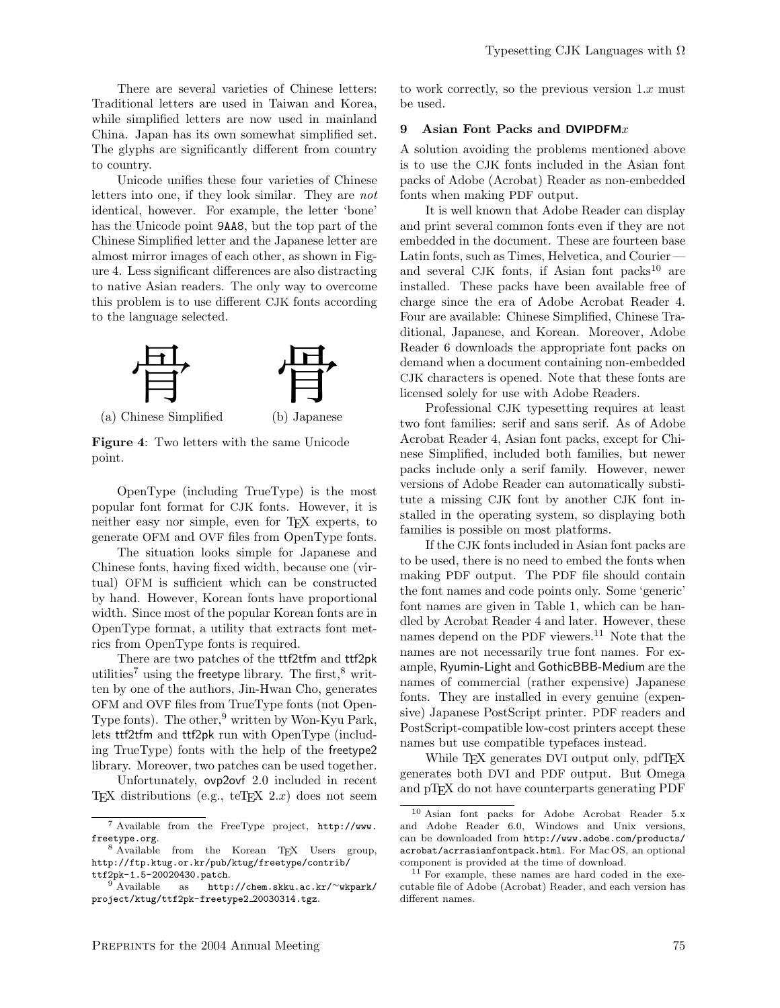There are several varieties of Chinese letters: Traditional letters are used in Taiwan and Korea, while simplified letters are now used in mainland China. Japan has its own somewhat simplified set. The glyphs are significantly different from country to country.

Unicode unifies these four varieties of Chinese letters into one, if they look similar. They are not identical, however. For example, the letter 'bone' has the Unicode point 9AA8, but the top part of the Chinese Simplified letter and the Japanese letter are almost mirror images of each other, as shown in Figure 4. Less significant differences are also distracting to native Asian readers. The only way to overcome this problem is to use different CJK fonts according to the language selected.



(a) Chinese Simplified

Figure 4: Two letters with the same Unicode point.

OpenType (including TrueType) is the most popular font format for CJK fonts. However, it is neither easy nor simple, even for TEX experts, to generate OFM and OVF files from OpenType fonts.

The situation looks simple for Japanese and Chinese fonts, having fixed width, because one (virtual) OFM is sufficient which can be constructed by hand. However, Korean fonts have proportional width. Since most of the popular Korean fonts are in OpenType format, a utility that extracts font metrics from OpenType fonts is required.

There are two patches of the ttf2tfm and ttf2pk utilities<sup>7</sup> using the freetype library. The first, $8 \text{ writ-}$ ten by one of the authors, Jin-Hwan Cho, generates OFM and OVF files from TrueType fonts (not Open-Type fonts). The other,<sup>9</sup> written by Won-Kyu Park, lets ttf2tfm and ttf2pk run with OpenType (including TrueType) fonts with the help of the freetype2 library. Moreover, two patches can be used together.

Unfortunately, ovp2ovf 2.0 included in recent TEX distributions (e.g.,  $teTeX\ 2.x$ ) does not seem to work correctly, so the previous version  $1.x$  must be used.

#### 9 Asian Font Packs and DVIPDFM $x$

A solution avoiding the problems mentioned above is to use the CJK fonts included in the Asian font packs of Adobe (Acrobat) Reader as non-embedded fonts when making PDF output.

It is well known that Adobe Reader can display and print several common fonts even if they are not embedded in the document. These are fourteen base Latin fonts, such as Times, Helvetica, and Courier and several CJK fonts, if Asian font packs $10$  are installed. These packs have been available free of charge since the era of Adobe Acrobat Reader 4. Four are available: Chinese Simplified, Chinese Traditional, Japanese, and Korean. Moreover, Adobe Reader 6 downloads the appropriate font packs on demand when a document containing non-embedded CJK characters is opened. Note that these fonts are licensed solely for use with Adobe Readers.

Professional CJK typesetting requires at least two font families: serif and sans serif. As of Adobe Acrobat Reader 4, Asian font packs, except for Chinese Simplified, included both families, but newer packs include only a serif family. However, newer versions of Adobe Reader can automatically substitute a missing CJK font by another CJK font installed in the operating system, so displaying both families is possible on most platforms.

If the CJK fonts included in Asian font packs are to be used, there is no need to embed the fonts when making PDF output. The PDF file should contain the font names and code points only. Some 'generic' font names are given in Table 1, which can be handled by Acrobat Reader 4 and later. However, these names depend on the PDF viewers.<sup>11</sup> Note that the names are not necessarily true font names. For example, Ryumin-Light and GothicBBB-Medium are the names of commercial (rather expensive) Japanese fonts. They are installed in every genuine (expensive) Japanese PostScript printer. PDF readers and PostScript-compatible low-cost printers accept these names but use compatible typefaces instead.

While T<sub>F</sub>X generates DVI output only, pdfT<sub>F</sub>X generates both DVI and PDF output. But Omega and pTEX do not have counterparts generating PDF

<sup>7</sup> Available from the FreeType project, http://www. freetype.org.

<sup>8</sup> Available from the Korean TEX Users group, http://ftp.ktug.or.kr/pub/ktug/freetype/contrib/ ttf2pk-1.5-20020430.patch.

<sup>9</sup> Available as http://chem.skku.ac.kr/∼wkpark/ project/ktug/ttf2pk-freetype2 20030314.tgz.

<sup>10</sup> Asian font packs for Adobe Acrobat Reader 5.x and Adobe Reader 6.0, Windows and Unix versions, can be downloaded from http://www.adobe.com/products/ acrobat/acrrasianfontpack.html. For Mac OS, an optional component is provided at the time of download.

<sup>11</sup> For example, these names are hard coded in the executable file of Adobe (Acrobat) Reader, and each version has different names.